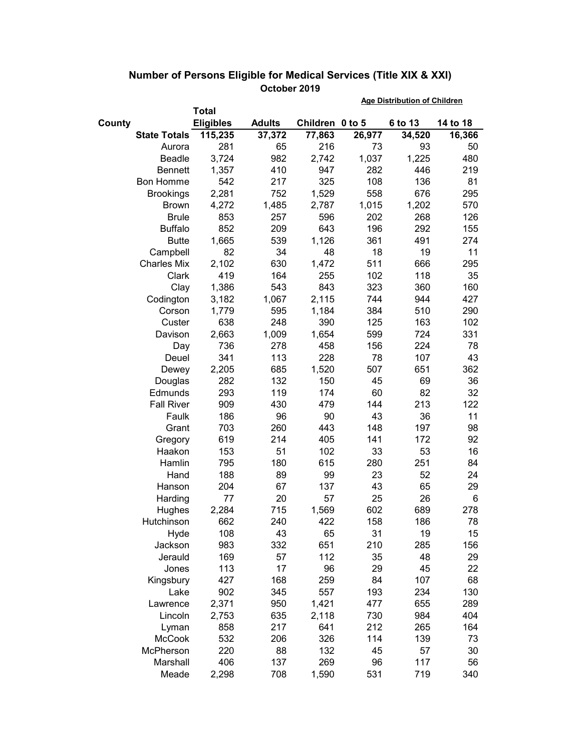|        |                     |                  |               |                 | <b>Age Distribution of Children</b> |         |          |  |
|--------|---------------------|------------------|---------------|-----------------|-------------------------------------|---------|----------|--|
|        |                     | <b>Total</b>     |               |                 |                                     |         |          |  |
| County |                     | <b>Eligibles</b> | <b>Adults</b> | Children 0 to 5 |                                     | 6 to 13 | 14 to 18 |  |
|        | <b>State Totals</b> | 115,235          | 37,372        | 77,863          | 26,977                              | 34,520  | 16,366   |  |
|        | Aurora              | 281              | 65            | 216             | 73                                  | 93      | 50       |  |
|        | Beadle              | 3,724            | 982           | 2,742           | 1,037                               | 1,225   | 480      |  |
|        | <b>Bennett</b>      | 1,357            | 410           | 947             | 282                                 | 446     | 219      |  |
|        | <b>Bon Homme</b>    | 542              | 217           | 325             | 108                                 | 136     | 81       |  |
|        | <b>Brookings</b>    | 2,281            | 752           | 1,529           | 558                                 | 676     | 295      |  |
|        | <b>Brown</b>        | 4,272            | 1,485         | 2,787           | 1,015                               | 1,202   | 570      |  |
|        | <b>Brule</b>        | 853              | 257           | 596             | 202                                 | 268     | 126      |  |
|        | <b>Buffalo</b>      | 852              | 209           | 643             | 196                                 | 292     | 155      |  |
|        | <b>Butte</b>        | 1,665            | 539           | 1,126           | 361                                 | 491     | 274      |  |
|        | Campbell            | 82               | 34            | 48              | 18                                  | 19      | 11       |  |
|        | <b>Charles Mix</b>  | 2,102            | 630           | 1,472           | 511                                 | 666     | 295      |  |
|        | Clark               | 419              | 164           | 255             | 102                                 | 118     | 35       |  |
|        | Clay                | 1,386            | 543           | 843             | 323                                 | 360     | 160      |  |
|        | Codington           | 3,182            | 1,067         | 2,115           | 744                                 | 944     | 427      |  |
|        | Corson              | 1,779            | 595           | 1,184           | 384                                 | 510     | 290      |  |
|        | Custer              | 638              | 248           | 390             | 125                                 | 163     | 102      |  |
|        | Davison             | 2,663            | 1,009         | 1,654           | 599                                 | 724     | 331      |  |
|        | Day                 | 736              | 278           | 458             | 156                                 | 224     | 78       |  |
|        | Deuel               | 341              | 113           | 228             | 78                                  | 107     | 43       |  |
|        | Dewey               | 2,205            | 685           | 1,520           | 507                                 | 651     | 362      |  |
|        | Douglas             | 282              | 132           | 150             | 45                                  | 69      | 36       |  |
|        | Edmunds             | 293              | 119           | 174             | 60                                  | 82      | 32       |  |
|        | <b>Fall River</b>   | 909              | 430           | 479             | 144                                 | 213     | 122      |  |
|        | Faulk               | 186              | 96            | 90              | 43                                  | 36      | 11       |  |
|        | Grant               | 703              | 260           | 443             | 148                                 | 197     | 98       |  |
|        | Gregory             | 619              | 214           | 405             | 141                                 | 172     | 92       |  |
|        | Haakon              | 153              | 51            | 102             | 33                                  | 53      | 16       |  |
|        | Hamlin              | 795              | 180           | 615             | 280                                 | 251     | 84       |  |
|        | Hand                | 188              | 89            | 99              | 23                                  | 52      | 24       |  |
|        | Hanson              | 204              | 67            | 137             | 43                                  | 65      | 29       |  |
|        | Harding             | 77               | 20            | 57              | 25                                  | 26      | 6        |  |
|        | Hughes              | 2,284            | 715           | 1,569           | 602                                 | 689     | 278      |  |
|        | Hutchinson          | 662              | 240           | 422             | 158                                 | 186     | 78       |  |
|        | Hyde                | 108              | 43            | 65              | 31                                  | 19      | 15       |  |
|        | Jackson             | 983              | 332           | 651             | 210                                 | 285     | 156      |  |
|        | Jerauld             | 169              | 57            | 112             | 35                                  | 48      | 29       |  |
|        | Jones               | 113              | 17            | 96              | 29                                  | 45      | 22       |  |
|        | Kingsbury           | 427              | 168           | 259             | 84                                  | 107     | 68       |  |
|        | Lake                | 902              | 345           | 557             | 193                                 | 234     | 130      |  |
|        | Lawrence            | 2,371            | 950           | 1,421           | 477                                 | 655     | 289      |  |
|        | Lincoln             | 2,753            | 635           | 2,118           | 730                                 | 984     | 404      |  |
|        | Lyman               | 858              | 217           | 641             | 212                                 | 265     | 164      |  |
|        | <b>McCook</b>       | 532              | 206           | 326             | 114                                 | 139     | 73       |  |
|        | McPherson           | 220              | 88            | 132             | 45                                  | 57      | 30       |  |
|        | Marshall            | 406              | 137           | 269             | 96                                  | 117     | 56       |  |
|        | Meade               | 2,298            | 708           | 1,590           | 531                                 | 719     | 340      |  |

## **Number of Persons Eligible for Medical Services (Title XIX & XXI) October 2019**